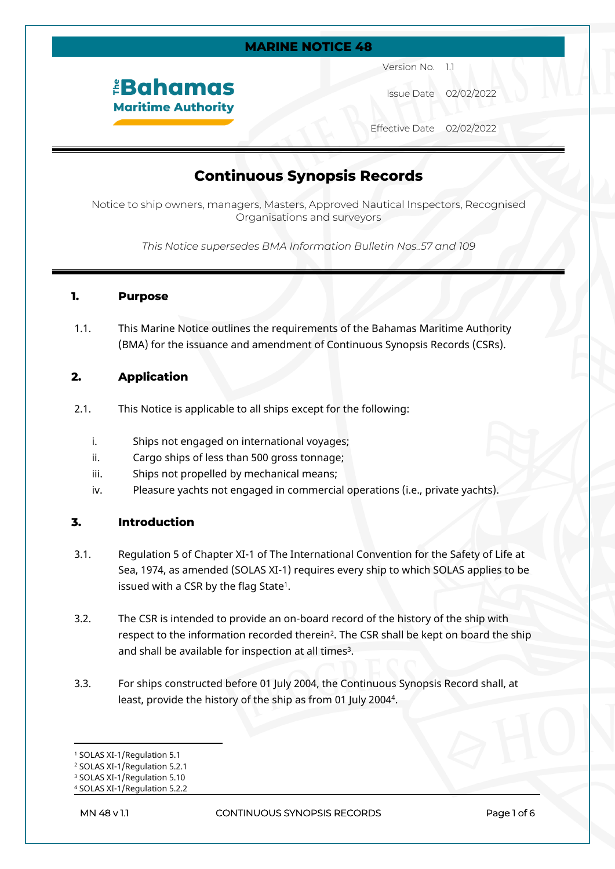#### **MARINE NOTICE 48**

# *<u><b>Bahamas</u>* **Maritime Authority**

Version No. 1.1

Issue Date 02/02/2022

Effective Date 02/02/2022

## **Continuous Synopsis Records**

Notice to ship owners, managers, Masters, Approved Nautical Inspectors, Recognised Organisations and surveyors

*This Notice supersedes BMA Information Bulletin Nos..57 and 109*

#### **1. Purpose**

1.1. This Marine Notice outlines the requirements of the Bahamas Maritime Authority (BMA) for the issuance and amendment of Continuous Synopsis Records (CSRs).

#### **2. Application**

- 2.1. This Notice is applicable to all ships except for the following:
	- i. Ships not engaged on international voyages;
	- ii. Cargo ships of less than 500 gross tonnage;
	- iii. Ships not propelled by mechanical means;
	- iv. Pleasure yachts not engaged in commercial operations (i.e., private yachts).

#### **3. Introduction**

- 3.1. Regulation 5 of Chapter XI-1 of The International Convention for the Safety of Life at Sea, 1974, as amended (SOLAS XI-1) requires every ship to which SOLAS applies to be issued with a CSR by the flag State $^1$ .
- 3.2. The CSR is intended to provide an on-board record of the history of the ship with respect to the information recorded therein<sup>2</sup> . The CSR shall be kept on board the ship and shall be available for inspection at all times<sup>3</sup>.
- 3.3. For ships constructed before 01 July 2004, the Continuous Synopsis Record shall, at least, provide the history of the ship as from 01 July 2004<sup>4</sup> .

<sup>1</sup> SOLAS XI-1/Regulation 5.1

<sup>2</sup> SOLAS XI-1/Regulation 5.2.1

<sup>3</sup> SOLAS XI-1/Regulation 5.10

<sup>4</sup> SOLAS XI-1/Regulation 5.2.2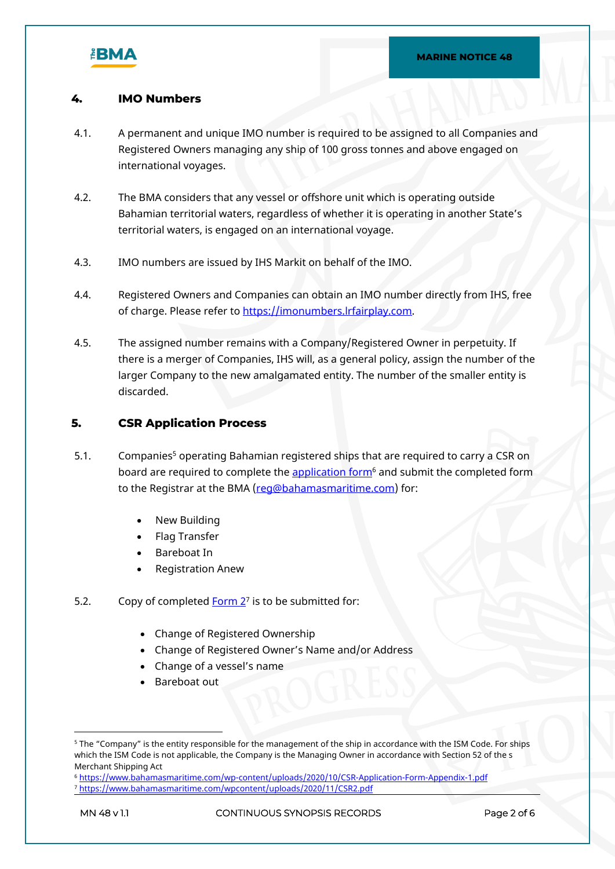

#### **4. IMO Numbers**

- 4.1. A permanent and unique IMO number is required to be assigned to all Companies and Registered Owners managing any ship of 100 gross tonnes and above engaged on international voyages.
- 4.2. The BMA considers that any vessel or offshore unit which is operating outside Bahamian territorial waters, regardless of whether it is operating in another State's territorial waters, is engaged on an international voyage.
- 4.3. IMO numbers are issued by IHS Markit on behalf of the IMO.
- 4.4. Registered Owners and Companies can obtain an IMO number directly from IHS, free of charge. Please refer to [https://imonumbers.lrfairplay.com.](https://imonumbers.lrfairplay.com/)
- 4.5. The assigned number remains with a Company/Registered Owner in perpetuity. If there is a merger of Companies, IHS will, as a general policy, assign the number of the larger Company to the new amalgamated entity. The number of the smaller entity is discarded.

#### **5. CSR Application Process**

- 5.1. Companies<sup>5</sup> operating Bahamian registered ships that are required to carry a CSR on board are required to complete the <u>application form</u><sup>6</sup> and submit the completed form to the Registrar at the BMA [\(reg@bahamasmaritime.com](mailto:reg@bahamasmaritime.com)) for:
	- New Building
	- Flag Transfer
	- Bareboat In
	- Registration Anew
- 5.2. Copy of completed **Form 2**<sup>7</sup> is to be submitted for:
	- Change of Registered Ownership
	- Change of Registered Owner's Name and/or Address
	- Change of a vessel's name
	- Bareboat out

<sup>5</sup> The "Company" is the entity responsible for the management of the ship in accordance with the ISM Code. For ships which the ISM Code is not applicable, the Company is the Managing Owner in accordance with Section 52 of the s Merchant Shipping Act

<sup>6</sup> <https://www.bahamasmaritime.com/wp-content/uploads/2020/10/CSR-Application-Form-Appendix-1.pdf> <sup>7</sup> <https://www.bahamasmaritime.com/wpcontent/uploads/2020/11/CSR2.pdf>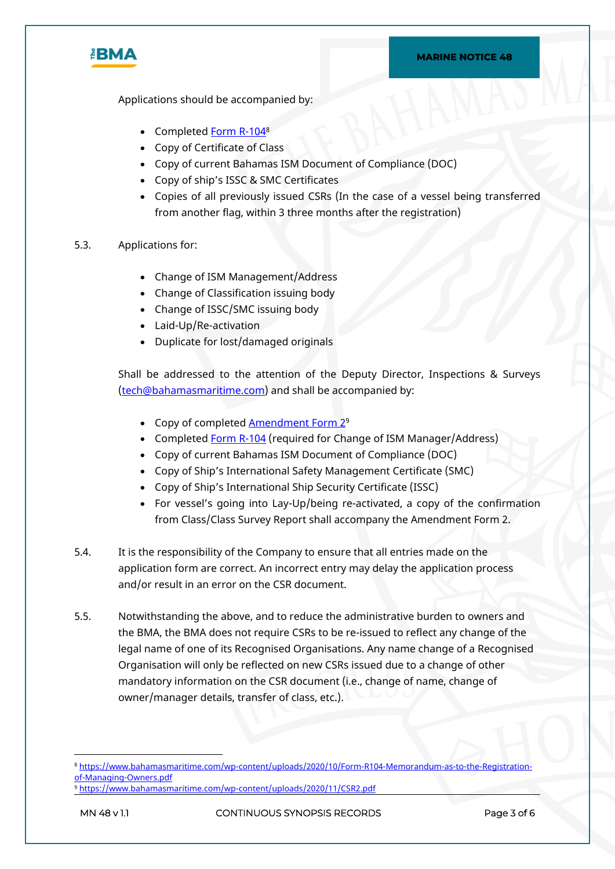

Applications should be accompanied by:

- Completed [Form R-104](https://www.bahamasmaritime.com/wp-content/uploads/2020/10/Form-R104-Memorandum-as-to-the-Registration-of-Managing-Owners.pdf)<sup>8</sup>
- Copy of Certificate of Class
- Copy of current Bahamas ISM Document of Compliance (DOC)
- Copy of ship's ISSC & SMC Certificates
- Copies of all previously issued CSRs (In the case of a vessel being transferred from another flag, within 3 three months after the registration)
- 5.3. Applications for:
	- Change of ISM Management/Address
	- Change of Classification issuing body
	- Change of ISSC/SMC issuing body
	- Laid-Up/Re-activation
	- Duplicate for lost/damaged originals

Shall be addressed to the attention of the Deputy Director, Inspections & Surveys [\(tech@bahamasmaritime.com](mailto:tech@bahamasmaritime.com)) and shall be accompanied by:

- Copy of completed **[Amendment Form 2](https://www.bahamasmaritime.com/wp-content/uploads/2020/11/CSR2.pdf)**<sup>9</sup>
- Completed [Form R-104](https://www.bahamasmaritime.com/wp-content/uploads/2020/10/Form-R104-Memorandum-as-to-the-Registration-of-Managing-Owners.pdf) (required for Change of ISM Manager/Address)
- Copy of current Bahamas ISM Document of Compliance (DOC)
- Copy of Ship's International Safety Management Certificate (SMC)
- Copy of Ship's International Ship Security Certificate (ISSC)
- For vessel's going into Lay-Up/being re-activated, a copy of the confirmation from Class/Class Survey Report shall accompany the Amendment Form 2.
- 5.4. It is the responsibility of the Company to ensure that all entries made on the application form are correct. An incorrect entry may delay the application process and/or result in an error on the CSR document.
- 5.5. Notwithstanding the above, and to reduce the administrative burden to owners and the BMA, the BMA does not require CSRs to be re-issued to reflect any change of the legal name of one of its Recognised Organisations. Any name change of a Recognised Organisation will only be reflected on new CSRs issued due to a change of other mandatory information on the CSR document (i.e., change of name, change of owner/manager details, transfer of class, etc.).

<sup>8</sup> [https://www.bahamasmaritime.com/wp-content/uploads/2020/10/Form-R104-Memorandum-as-to-the-Registration](https://www.bahamasmaritime.com/wp-content/uploads/2020/10/Form-R104-Memorandum-as-to-the-Registration-of-Managing-Owners.pdf)[of-Managing-Owners.pdf](https://www.bahamasmaritime.com/wp-content/uploads/2020/10/Form-R104-Memorandum-as-to-the-Registration-of-Managing-Owners.pdf)

<sup>9</sup> <https://www.bahamasmaritime.com/wp-content/uploads/2020/11/CSR2.pdf>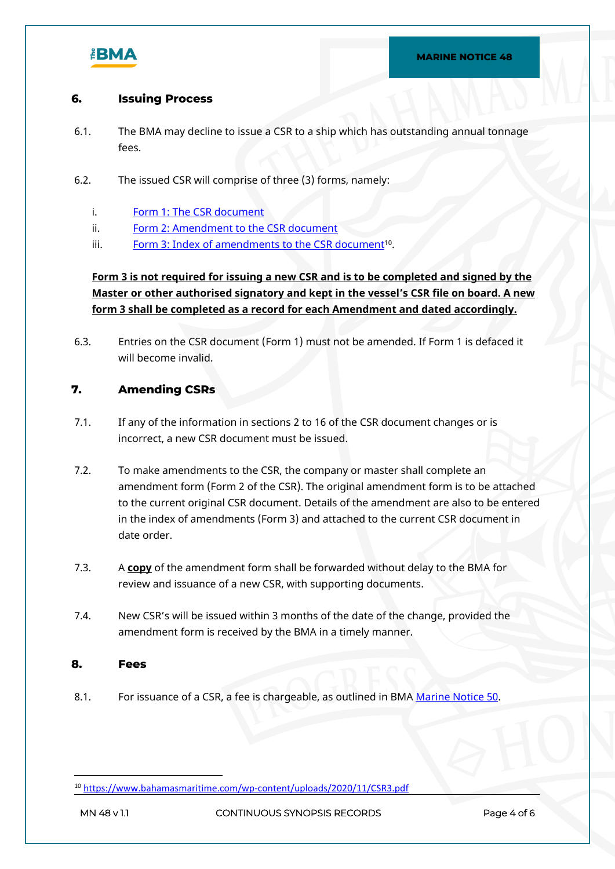

#### **6. Issuing Process**

- 6.1. The BMA may decline to issue a CSR to a ship which has outstanding annual tonnage fees.
- 6.2. The issued CSR will comprise of three (3) forms, namely:
	- i. [Form 1: The CSR document](https://www.bahamasmaritime.com/wp-content/uploads/2020/10/CSR-Application-Form-Appendix-1.pdf)
	- ii. [Form 2: Amendment to the CSR document](https://www.bahamasmaritime.com/wp-content/uploads/2020/11/CSR2.pdf)
	- iii. [Form 3: Index of amendments to the CSR document](https://www.bahamasmaritime.com/wp-content/uploads/2020/11/CSR3.pdf)<sup>10</sup>.

**Form 3 is not required for issuing a new CSR and is to be completed and signed by the Master or other authorised signatory and kept in the vessel's CSR file on board. A new form 3 shall be completed as a record for each Amendment and dated accordingly.** 

6.3. Entries on the CSR document (Form 1) must not be amended. If Form 1 is defaced it will become invalid.

#### **7. Amending CSRs**

- 7.1. If any of the information in sections 2 to 16 of the CSR document changes or is incorrect, a new CSR document must be issued.
- 7.2. To make amendments to the CSR, the company or master shall complete an amendment form (Form 2 of the CSR). The original amendment form is to be attached to the current original CSR document. Details of the amendment are also to be entered in the index of amendments (Form 3) and attached to the current CSR document in date order.
- 7.3. A **copy** of the amendment form shall be forwarded without delay to the BMA for review and issuance of a new CSR, with supporting documents.
- 7.4. New CSR's will be issued within 3 months of the date of the change, provided the amendment form is received by the BMA in a timely manner.

#### **8. Fees**

8.1. For issuance of a CSR, a fee is chargeable, as outlined in BMA [Marine Notice 50](https://www.bahamasmaritime.com/wp-content/uploads/2021/01/MN050-Fee-Schedule-v2.2-ID-2371589.pdf).

<sup>10</sup> <https://www.bahamasmaritime.com/wp-content/uploads/2020/11/CSR3.pdf>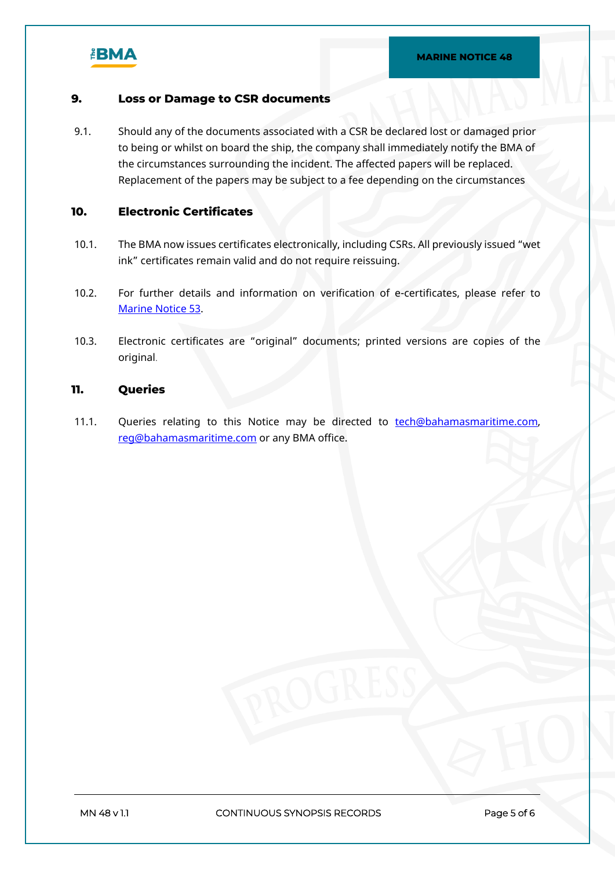

#### **9. Loss or Damage to CSR documents**

9.1. Should any of the documents associated with a CSR be declared lost or damaged prior to being or whilst on board the ship, the company shall immediately notify the BMA of the circumstances surrounding the incident. The affected papers will be replaced. Replacement of the papers may be subject to a fee depending on the circumstances

### **10. Electronic Certificates**

- 10.1. The BMA now issues certificates electronically, including CSRs. All previously issued "wet ink" certificates remain valid and do not require reissuing.
- 10.2. For further details and information on verification of e-certificates, please refer to [Marine Notice 53](https://www.bahamasmaritime.com/wp-content/uploads/2021/04/MN053-Electronic-Statutory-Certificates-v2.1-ID-359648.pdf).
- 10.3. Electronic certificates are "original" documents; printed versions are copies of the original.

#### **11. Queries**

11.1. Queries relating to this Notice may be directed to [tech@bahamasmaritime.com,](mailto:tech@bahamasmaritime.com) [reg@bahamasmaritime.com](mailto:reg@bahamasmaritime.com) or any BMA office.